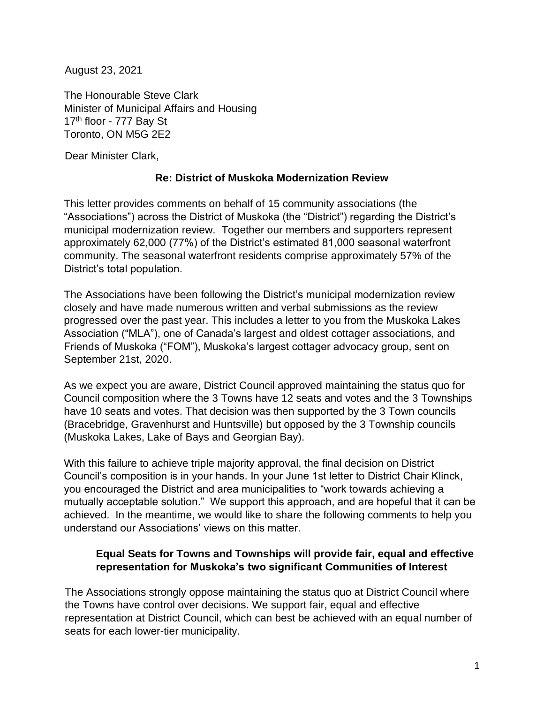August 23, 2021

The Honourable Steve Clark Minister of Municipal Affairs and Housing 17<sup>th</sup> floor - 777 Bay St Toronto, ON M5G 2E2

Dear Minister Clark,

# **Re: District of Muskoka Modernization Review**

This letter provides comments on behalf of 15 community associations (the "Associations") across the District of Muskoka (the "District") regarding the District's municipal modernization review. Together our members and supporters represent approximately 62,000 (77%) of the District's estimated 81,000 seasonal waterfront community. The seasonal waterfront residents comprise approximately 57% of the District's total population.

The Associations have been following the District's municipal modernization review closely and have made numerous written and verbal submissions as the review progressed over the past year. This includes a letter to you from the Muskoka Lakes Association ("MLA"), one of Canada's largest and oldest cottager associations, and Friends of Muskoka ("FOM"), Muskoka's largest cottager advocacy group, sent on September 21st, 2020.

As we expect you are aware, District Council approved maintaining the status quo for Council composition where the 3 Towns have 12 seats and votes and the 3 Townships have 10 seats and votes. That decision was then supported by the 3 Town councils (Bracebridge, Gravenhurst and Huntsville) but opposed by the 3 Township councils (Muskoka Lakes, Lake of Bays and Georgian Bay).

With this failure to achieve triple majority approval, the final decision on District Council's composition is in your hands. In your June 1st letter to District Chair Klinck, you encouraged the District and area municipalities to "work towards achieving a mutually acceptable solution." We support this approach, and are hopeful that it can be achieved. In the meantime, we would like to share the following comments to help you understand our Associations' views on this matter.

#### **Equal Seats for Towns and Townships will provide fair, equal and effective representation for Muskoka's two significant Communities of Interest**

The Associations strongly oppose maintaining the status quo at District Council where the Towns have control over decisions. We support fair, equal and effective representation at District Council, which can best be achieved with an equal number of seats for each lower-tier municipality.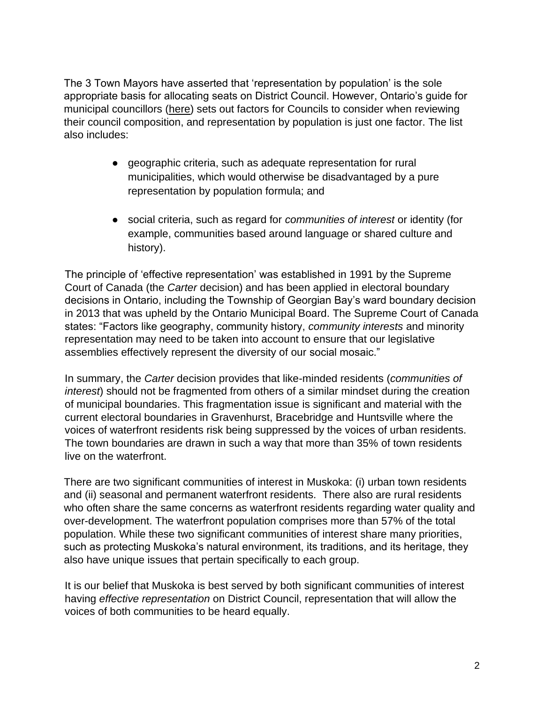The 3 Town Mayors have asserted that 'representation by population' is the sole appropriate basis for allocating seats on District Council. However, Ontario's guide for municipal councillors [\(here\)](https://www.ontario.ca/document/ontario-municipal-councillors-guide-2018/6-changes-council-composition) sets out factors for Councils to consider when reviewing their council composition, and representation by population is just one factor. The list also includes:

- geographic criteria, such as adequate representation for rural municipalities, which would otherwise be disadvantaged by a pure representation by population formula; and
- social criteria, such as regard for *communities of interest* or identity (for example, communities based around language or shared culture and history).

The principle of 'effective representation' was established in 1991 by the Supreme Court of Canada (the *Carter* decision) and has been applied in electoral boundary decisions in Ontario, including the Township of Georgian Bay's ward boundary decision in 2013 that was upheld by the Ontario Municipal Board. The Supreme Court of Canada states: "Factors like geography, community history, *community interests* and minority representation may need to be taken into account to ensure that our legislative assemblies effectively represent the diversity of our social mosaic."

In summary, the *Carter* decision provides that like-minded residents (*communities of interest*) should not be fragmented from others of a similar mindset during the creation of municipal boundaries. This fragmentation issue is significant and material with the current electoral boundaries in Gravenhurst, Bracebridge and Huntsville where the voices of waterfront residents risk being suppressed by the voices of urban residents. The town boundaries are drawn in such a way that more than 35% of town residents live on the waterfront.

There are two significant communities of interest in Muskoka: (i) urban town residents and (ii) seasonal and permanent waterfront residents. There also are rural residents who often share the same concerns as waterfront residents regarding water quality and over-development. The waterfront population comprises more than 57% of the total population. While these two significant communities of interest share many priorities, such as protecting Muskoka's natural environment, its traditions, and its heritage, they also have unique issues that pertain specifically to each group.

It is our belief that Muskoka is best served by both significant communities of interest having *effective representation* on District Council, representation that will allow the voices of both communities to be heard equally.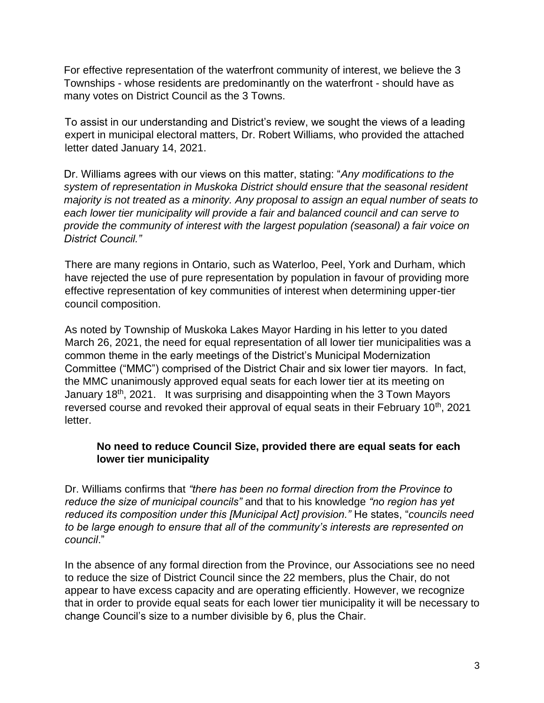For effective representation of the waterfront community of interest, we believe the 3 Townships - whose residents are predominantly on the waterfront - should have as many votes on District Council as the 3 Towns.

To assist in our understanding and District's review, we sought the views of a leading expert in municipal electoral matters, Dr. Robert Williams, who provided the attached letter dated January 14, 2021.

Dr. Williams agrees with our views on this matter, stating: "*Any modifications to the system of representation in Muskoka District should ensure that the seasonal resident majority is not treated as a minority. Any proposal to assign an equal number of seats to each lower tier municipality will provide a fair and balanced council and can serve to provide the community of interest with the largest population (seasonal) a fair voice on District Council."*

There are many regions in Ontario, such as Waterloo, Peel, York and Durham, which have rejected the use of pure representation by population in favour of providing more effective representation of key communities of interest when determining upper-tier council composition.

As noted by Township of Muskoka Lakes Mayor Harding in his letter to you dated March 26, 2021, the need for equal representation of all lower tier municipalities was a common theme in the early meetings of the District's Municipal Modernization Committee ("MMC") comprised of the District Chair and six lower tier mayors. In fact, the MMC unanimously approved equal seats for each lower tier at its meeting on January  $18<sup>th</sup>$ , 2021. It was surprising and disappointing when the 3 Town Mayors reversed course and revoked their approval of equal seats in their February 10<sup>th</sup>, 2021 letter.

# **No need to reduce Council Size, provided there are equal seats for each lower tier municipality**

Dr. Williams confirms that *"there has been no formal direction from the Province to reduce the size of municipal councils"* and that to his knowledge *"no region has yet reduced its composition under this [Municipal Act] provision."* He states, "*councils need to be large enough to ensure that all of the community's interests are represented on council*."

In the absence of any formal direction from the Province, our Associations see no need to reduce the size of District Council since the 22 members, plus the Chair, do not appear to have excess capacity and are operating efficiently. However, we recognize that in order to provide equal seats for each lower tier municipality it will be necessary to change Council's size to a number divisible by 6, plus the Chair.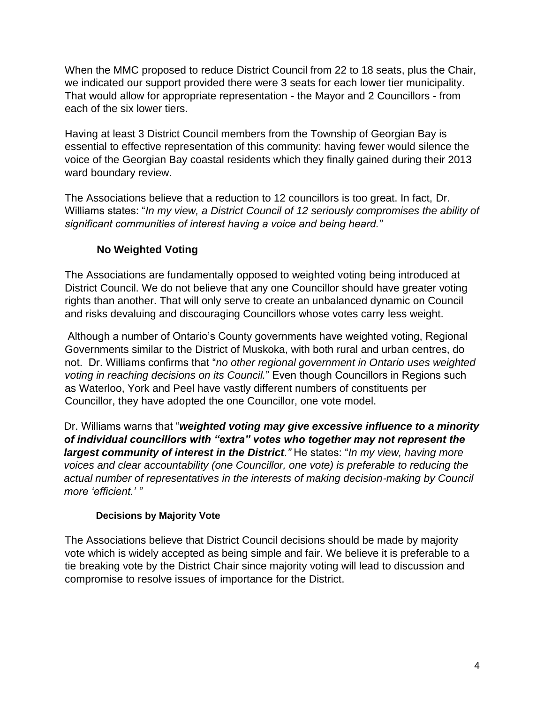When the MMC proposed to reduce District Council from 22 to 18 seats, plus the Chair, we indicated our support provided there were 3 seats for each lower tier municipality. That would allow for appropriate representation - the Mayor and 2 Councillors - from each of the six lower tiers.

Having at least 3 District Council members from the Township of Georgian Bay is essential to effective representation of this community: having fewer would silence the voice of the Georgian Bay coastal residents which they finally gained during their 2013 ward boundary review.

The Associations believe that a reduction to 12 councillors is too great. In fact, Dr. Williams states: "*In my view, a District Council of 12 seriously compromises the ability of significant communities of interest having a voice and being heard."*

# **No Weighted Voting**

The Associations are fundamentally opposed to weighted voting being introduced at District Council. We do not believe that any one Councillor should have greater voting rights than another. That will only serve to create an unbalanced dynamic on Council and risks devaluing and discouraging Councillors whose votes carry less weight.

Although a number of Ontario's County governments have weighted voting, Regional Governments similar to the District of Muskoka, with both rural and urban centres, do not. Dr. Williams confirms that "*no other regional government in Ontario uses weighted voting in reaching decisions on its Council.*" Even though Councillors in Regions such as Waterloo, York and Peel have vastly different numbers of constituents per Councillor, they have adopted the one Councillor, one vote model.

Dr. Williams warns that "*weighted voting may give excessive influence to a minority of individual councillors with "extra" votes who together may not represent the largest community of interest in the District."* He states: "*In my view, having more voices and clear accountability (one Councillor, one vote) is preferable to reducing the actual number of representatives in the interests of making decision-making by Council more 'efficient.' "*

# **Decisions by Majority Vote**

The Associations believe that District Council decisions should be made by majority vote which is widely accepted as being simple and fair. We believe it is preferable to a tie breaking vote by the District Chair since majority voting will lead to discussion and compromise to resolve issues of importance for the District.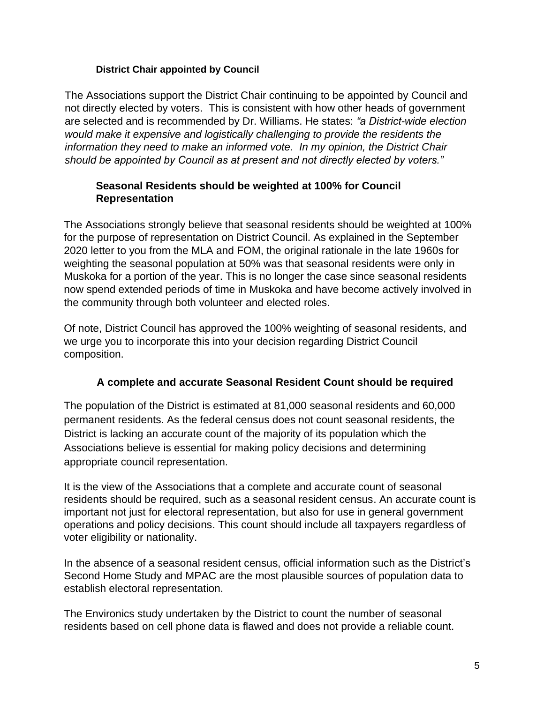### **District Chair appointed by Council**

The Associations support the District Chair continuing to be appointed by Council and not directly elected by voters. This is consistent with how other heads of government are selected and is recommended by Dr. Williams. He states: *"a District-wide election would make it expensive and logistically challenging to provide the residents the information they need to make an informed vote. In my opinion, the District Chair should be appointed by Council as at present and not directly elected by voters."* 

### **Seasonal Residents should be weighted at 100% for Council Representation**

The Associations strongly believe that seasonal residents should be weighted at 100% for the purpose of representation on District Council. As explained in the September 2020 letter to you from the MLA and FOM, the original rationale in the late 1960s for weighting the seasonal population at 50% was that seasonal residents were only in Muskoka for a portion of the year. This is no longer the case since seasonal residents now spend extended periods of time in Muskoka and have become actively involved in the community through both volunteer and elected roles.

Of note, District Council has approved the 100% weighting of seasonal residents, and we urge you to incorporate this into your decision regarding District Council composition.

# **A complete and accurate Seasonal Resident Count should be required**

The population of the District is estimated at 81,000 seasonal residents and 60,000 permanent residents. As the federal census does not count seasonal residents, the District is lacking an accurate count of the majority of its population which the Associations believe is essential for making policy decisions and determining appropriate council representation.

It is the view of the Associations that a complete and accurate count of seasonal residents should be required, such as a seasonal resident census. An accurate count is important not just for electoral representation, but also for use in general government operations and policy decisions. This count should include all taxpayers regardless of voter eligibility or nationality.

In the absence of a seasonal resident census, official information such as the District's Second Home Study and MPAC are the most plausible sources of population data to establish electoral representation.

The Environics study undertaken by the District to count the number of seasonal residents based on cell phone data is flawed and does not provide a reliable count.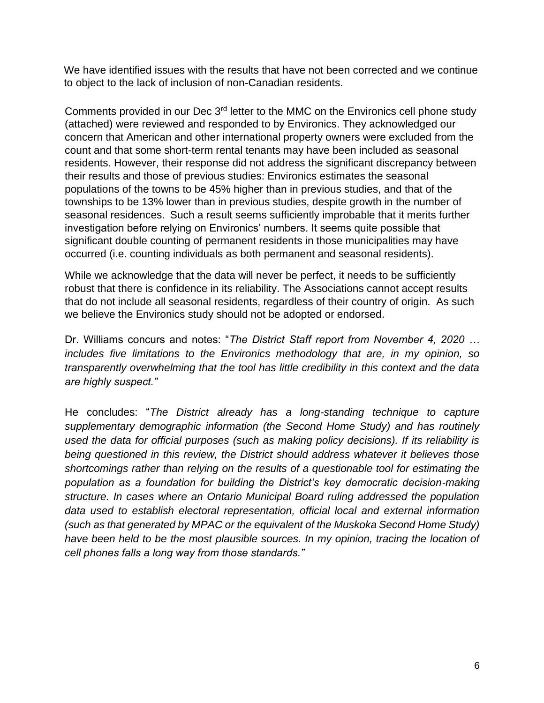We have identified issues with the results that have not been corrected and we continue to object to the lack of inclusion of non-Canadian residents.

Comments provided in our Dec 3rd letter to the MMC on the Environics cell phone study (attached) were reviewed and responded to by Environics. They acknowledged our concern that American and other international property owners were excluded from the count and that some short-term rental tenants may have been included as seasonal residents. However, their response did not address the significant discrepancy between their results and those of previous studies: Environics estimates the seasonal populations of the towns to be 45% higher than in previous studies, and that of the townships to be 13% lower than in previous studies, despite growth in the number of seasonal residences. Such a result seems sufficiently improbable that it merits further investigation before relying on Environics' numbers. It seems quite possible that significant double counting of permanent residents in those municipalities may have occurred (i.e. counting individuals as both permanent and seasonal residents).

While we acknowledge that the data will never be perfect, it needs to be sufficiently robust that there is confidence in its reliability. The Associations cannot accept results that do not include all seasonal residents, regardless of their country of origin. As such we believe the Environics study should not be adopted or endorsed.

Dr. Williams concurs and notes: "*The District Staff report from November 4, 2020 … includes five limitations to the Environics methodology that are, in my opinion, so transparently overwhelming that the tool has little credibility in this context and the data are highly suspect."*

He concludes: "*The District already has a long-standing technique to capture supplementary demographic information (the Second Home Study) and has routinely used the data for official purposes (such as making policy decisions). If its reliability is being questioned in this review, the District should address whatever it believes those shortcomings rather than relying on the results of a questionable tool for estimating the population as a foundation for building the District's key democratic decision-making structure. In cases where an Ontario Municipal Board ruling addressed the population data used to establish electoral representation, official local and external information (such as that generated by MPAC or the equivalent of the Muskoka Second Home Study)*  have been held to be the most plausible sources. In my opinion, tracing the location of *cell phones falls a long way from those standards."*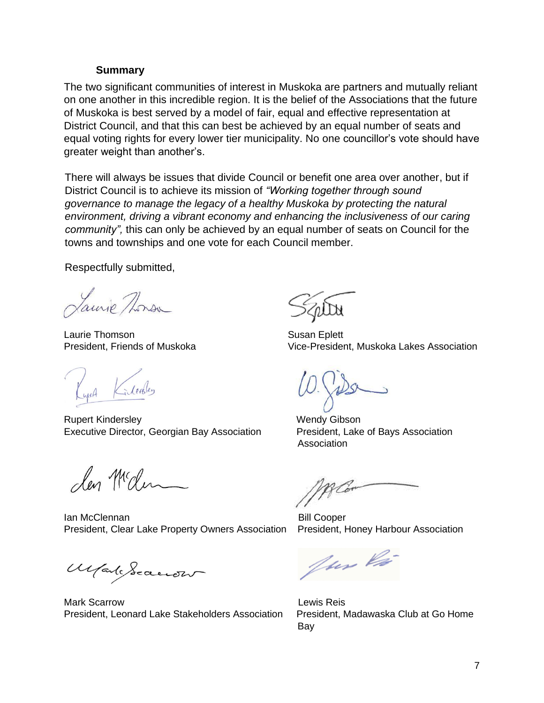#### **Summary**

The two significant communities of interest in Muskoka are partners and mutually reliant on one another in this incredible region. It is the belief of the Associations that the future of Muskoka is best served by a model of fair, equal and effective representation at District Council, and that this can best be achieved by an equal number of seats and equal voting rights for every lower tier municipality. No one councillor's vote should have greater weight than another's.

There will always be issues that divide Council or benefit one area over another, but if District Council is to achieve its mission of *"Working together through sound governance to manage the legacy of a healthy Muskoka by protecting the natural environment, driving a vibrant economy and enhancing the inclusiveness of our caring community",* this can only be achieved by an equal number of seats on Council for the towns and townships and one vote for each Council member.

Respectfully submitted,

Laurie Thorsa

Laurie Thomson Susan Eplett

Gilerbley

Rupert Kindersley New York 1997 Wendy Gibson Executive Director, Georgian Bay Association President, Lake of Bays Association

len Mcden

Ian McClennan **Bill** Cooper President, Clear Lake Property Owners Association President, Honey Harbour Association

Made Seaccow

Mark Scarrow Lewis Reis President, Leonard Lake Stakeholders Association President, Madawaska Club at Go Home

President, Friends of Muskoka Vice-President, Muskoka Lakes Association

Association

f Cor

fur là

Bay